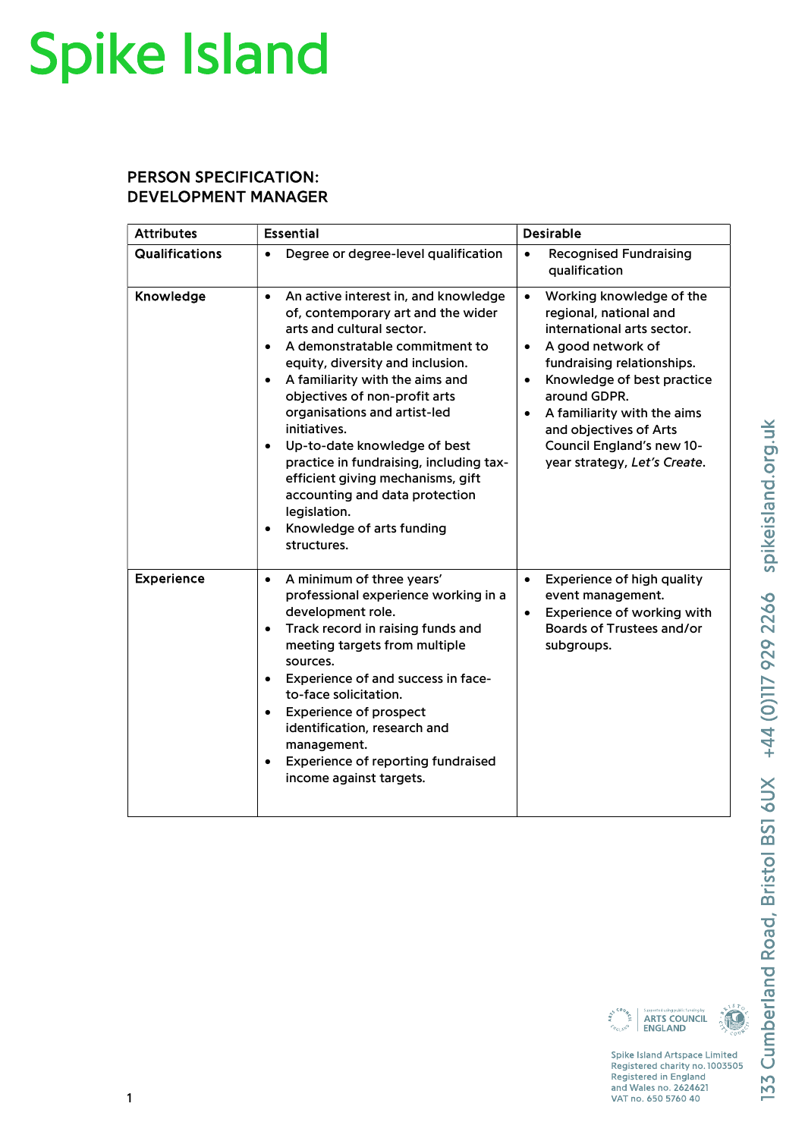## **Spike Island**

## PERSON SPECIFICATION: DEVELOPMENT MANAGER

| <b>Attributes</b>     | <b>Essential</b>                                                                                                                                                                                                                                                                                                                                                                                                                                                                                                                                                                 | <b>Desirable</b>                                                                                                                                                                                                                                                                                                                                            |
|-----------------------|----------------------------------------------------------------------------------------------------------------------------------------------------------------------------------------------------------------------------------------------------------------------------------------------------------------------------------------------------------------------------------------------------------------------------------------------------------------------------------------------------------------------------------------------------------------------------------|-------------------------------------------------------------------------------------------------------------------------------------------------------------------------------------------------------------------------------------------------------------------------------------------------------------------------------------------------------------|
| <b>Qualifications</b> | Degree or degree-level qualification<br>$\bullet$                                                                                                                                                                                                                                                                                                                                                                                                                                                                                                                                | <b>Recognised Fundraising</b><br>$\bullet$<br>qualification                                                                                                                                                                                                                                                                                                 |
| Knowledge             | An active interest in, and knowledge<br>$\bullet$<br>of, contemporary art and the wider<br>arts and cultural sector.<br>A demonstratable commitment to<br>$\bullet$<br>equity, diversity and inclusion.<br>A familiarity with the aims and<br>$\bullet$<br>objectives of non-profit arts<br>organisations and artist-led<br>initiatives.<br>Up-to-date knowledge of best<br>$\bullet$<br>practice in fundraising, including tax-<br>efficient giving mechanisms, gift<br>accounting and data protection<br>legislation.<br>Knowledge of arts funding<br>$\bullet$<br>structures. | Working knowledge of the<br>$\bullet$<br>regional, national and<br>international arts sector.<br>A good network of<br>$\bullet$<br>fundraising relationships.<br>Knowledge of best practice<br>$\bullet$<br>around GDPR.<br>A familiarity with the aims<br>$\bullet$<br>and objectives of Arts<br>Council England's new 10-<br>year strategy, Let's Create. |
| <b>Experience</b>     | A minimum of three years'<br>$\bullet$<br>professional experience working in a<br>development role.<br>Track record in raising funds and<br>$\bullet$<br>meeting targets from multiple<br>sources.<br>Experience of and success in face-<br>$\bullet$<br>to-face solicitation.<br><b>Experience of prospect</b><br>$\bullet$<br>identification, research and<br>management.<br>Experience of reporting fundraised<br>$\bullet$<br>income against targets.                                                                                                                        | Experience of high quality<br>$\bullet$<br>event management.<br>Experience of working with<br>$\bullet$<br>Boards of Trustees and/or<br>subgroups.                                                                                                                                                                                                          |



Spike Island Artspace Limited Registered charity no. 1003505 Registered in England and Wales no. 2624621<br>VAT no. 650 5760 40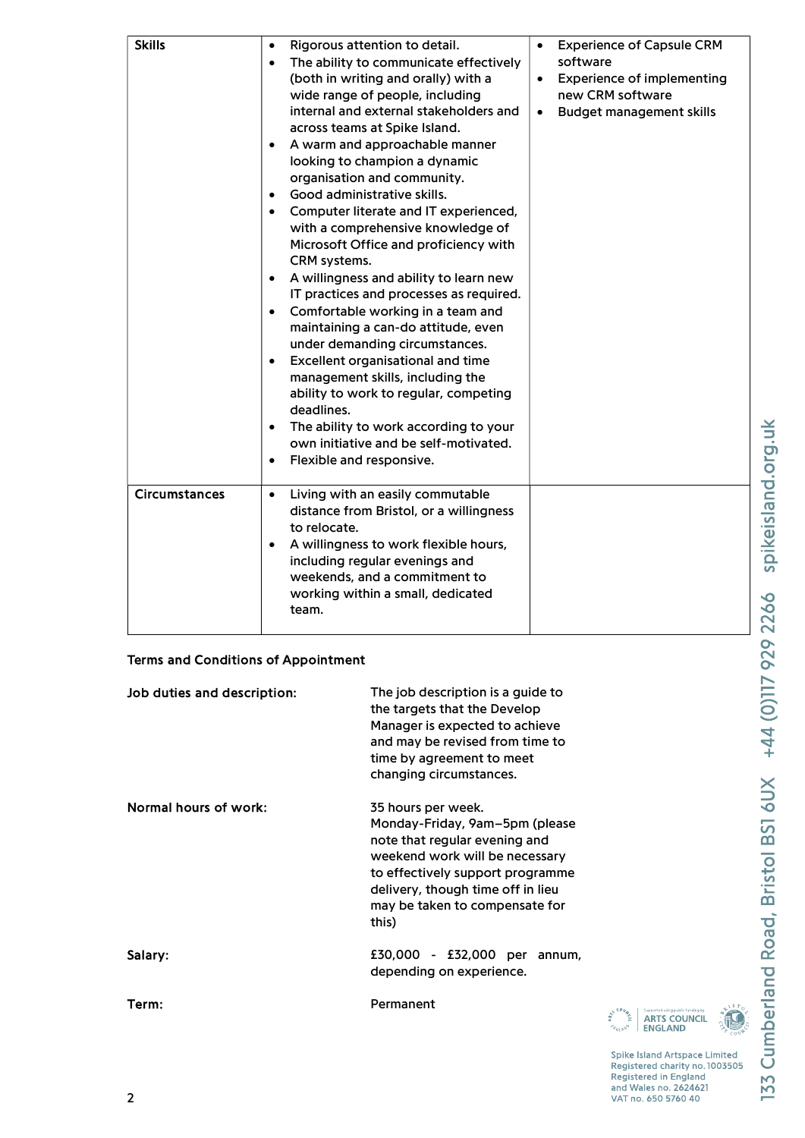| <b>Skills</b>        | Rigorous attention to detail.<br>$\bullet$<br>The ability to communicate effectively<br>$\bullet$<br>(both in writing and orally) with a<br>wide range of people, including<br>internal and external stakeholders and<br>across teams at Spike Island.<br>A warm and approachable manner<br>$\bullet$<br>looking to champion a dynamic<br>organisation and community.<br>Good administrative skills.<br>$\bullet$<br>Computer literate and IT experienced,<br>$\bullet$<br>with a comprehensive knowledge of<br>Microsoft Office and proficiency with<br>CRM systems.<br>A willingness and ability to learn new<br>$\bullet$<br>IT practices and processes as required.<br>Comfortable working in a team and<br>$\bullet$<br>maintaining a can-do attitude, even<br>under demanding circumstances.<br>Excellent organisational and time<br>$\bullet$<br>management skills, including the<br>ability to work to regular, competing<br>deadlines.<br>The ability to work according to your<br>$\bullet$<br>own initiative and be self-motivated.<br>Flexible and responsive.<br>$\bullet$ | <b>Experience of Capsule CRM</b><br>$\bullet$<br>software<br><b>Experience of implementing</b><br>$\bullet$<br>new CRM software<br><b>Budget management skills</b><br>$\bullet$ |
|----------------------|-----------------------------------------------------------------------------------------------------------------------------------------------------------------------------------------------------------------------------------------------------------------------------------------------------------------------------------------------------------------------------------------------------------------------------------------------------------------------------------------------------------------------------------------------------------------------------------------------------------------------------------------------------------------------------------------------------------------------------------------------------------------------------------------------------------------------------------------------------------------------------------------------------------------------------------------------------------------------------------------------------------------------------------------------------------------------------------------|---------------------------------------------------------------------------------------------------------------------------------------------------------------------------------|
| <b>Circumstances</b> | Living with an easily commutable<br>$\bullet$<br>distance from Bristol, or a willingness<br>to relocate.<br>A willingness to work flexible hours,<br>$\bullet$<br>including regular evenings and<br>weekends, and a commitment to<br>working within a small, dedicated<br>team.                                                                                                                                                                                                                                                                                                                                                                                                                                                                                                                                                                                                                                                                                                                                                                                                         |                                                                                                                                                                                 |

## Terms and Conditions of Appointment

| Job duties and description: | The job description is a guide to<br>the targets that the Develop<br>Manager is expected to achieve<br>and may be revised from time to<br>time by agreement to meet<br>changing circumstances.                                              |
|-----------------------------|---------------------------------------------------------------------------------------------------------------------------------------------------------------------------------------------------------------------------------------------|
| Normal hours of work:       | 35 hours per week.<br>Monday-Friday, 9am–5pm (please<br>note that regular evening and<br>weekend work will be necessary<br>to effectively support programme<br>delivery, though time off in lieu<br>may be taken to compensate for<br>this) |
| Salary:                     | £30,000 - £32,000 per<br>annum,<br>depending on experience.                                                                                                                                                                                 |
| Term:                       | Permanent                                                                                                                                                                                                                                   |

Supported using public funding by<br>**ARTS COUNCIL**<br>ENGLAND

**N** 

ARTS r.